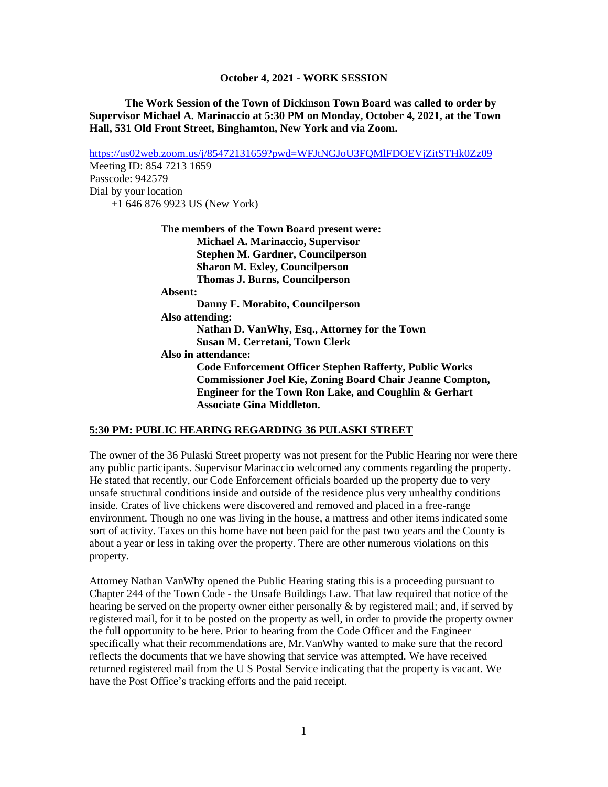**The Work Session of the Town of Dickinson Town Board was called to order by Supervisor Michael A. Marinaccio at 5:30 PM on Monday, October 4, 2021, at the Town Hall, 531 Old Front Street, Binghamton, New York and via Zoom.**

<https://us02web.zoom.us/j/85472131659?pwd=WFJtNGJoU3FQMlFDOEVjZitSTHk0Zz09> Meeting ID: 854 7213 1659 Passcode: 942579 Dial by your location +1 646 876 9923 US (New York) **The members of the Town Board present were: Michael A. Marinaccio, Supervisor Stephen M. Gardner, Councilperson Sharon M. Exley, Councilperson Thomas J. Burns, Councilperson Absent: Danny F. Morabito, Councilperson Also attending: Nathan D. VanWhy, Esq., Attorney for the Town Susan M. Cerretani, Town Clerk Also in attendance: Code Enforcement Officer Stephen Rafferty, Public Works Commissioner Joel Kie, Zoning Board Chair Jeanne Compton, Engineer for the Town Ron Lake, and Coughlin & Gerhart Associate Gina Middleton.**

#### **5:30 PM: PUBLIC HEARING REGARDING 36 PULASKI STREET**

The owner of the 36 Pulaski Street property was not present for the Public Hearing nor were there any public participants. Supervisor Marinaccio welcomed any comments regarding the property. He stated that recently, our Code Enforcement officials boarded up the property due to very unsafe structural conditions inside and outside of the residence plus very unhealthy conditions inside. Crates of live chickens were discovered and removed and placed in a free-range environment. Though no one was living in the house, a mattress and other items indicated some sort of activity. Taxes on this home have not been paid for the past two years and the County is about a year or less in taking over the property. There are other numerous violations on this property.

Attorney Nathan VanWhy opened the Public Hearing stating this is a proceeding pursuant to Chapter 244 of the Town Code - the Unsafe Buildings Law. That law required that notice of the hearing be served on the property owner either personally  $\&$  by registered mail; and, if served by registered mail, for it to be posted on the property as well, in order to provide the property owner the full opportunity to be here. Prior to hearing from the Code Officer and the Engineer specifically what their recommendations are, Mr.VanWhy wanted to make sure that the record reflects the documents that we have showing that service was attempted. We have received returned registered mail from the U S Postal Service indicating that the property is vacant. We have the Post Office's tracking efforts and the paid receipt.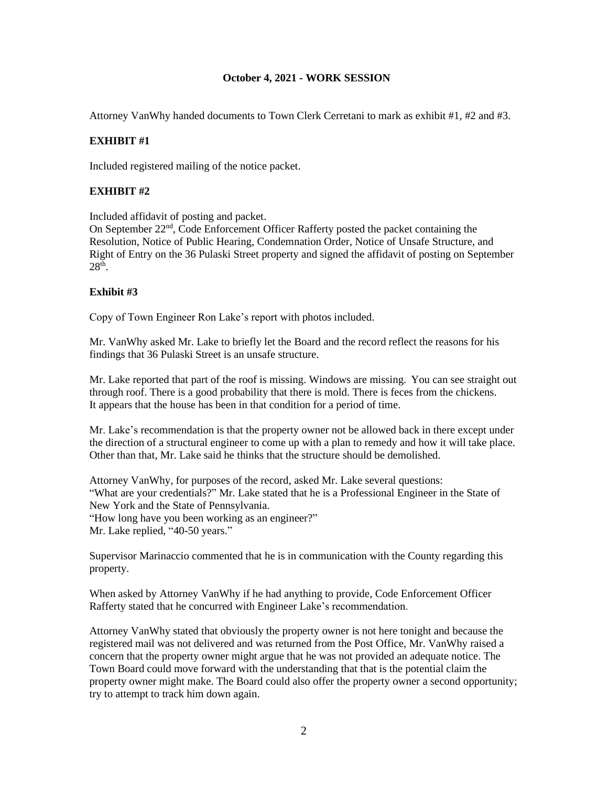Attorney VanWhy handed documents to Town Clerk Cerretani to mark as exhibit #1, #2 and #3.

### **EXHIBIT #1**

Included registered mailing of the notice packet.

## **EXHIBIT #2**

Included affidavit of posting and packet.

On September 22nd, Code Enforcement Officer Rafferty posted the packet containing the Resolution, Notice of Public Hearing, Condemnation Order, Notice of Unsafe Structure, and Right of Entry on the 36 Pulaski Street property and signed the affidavit of posting on September  $28<sup>th</sup>$ .

### **Exhibit #3**

Copy of Town Engineer Ron Lake's report with photos included.

Mr. VanWhy asked Mr. Lake to briefly let the Board and the record reflect the reasons for his findings that 36 Pulaski Street is an unsafe structure.

Mr. Lake reported that part of the roof is missing. Windows are missing. You can see straight out through roof. There is a good probability that there is mold. There is feces from the chickens. It appears that the house has been in that condition for a period of time.

Mr. Lake's recommendation is that the property owner not be allowed back in there except under the direction of a structural engineer to come up with a plan to remedy and how it will take place. Other than that, Mr. Lake said he thinks that the structure should be demolished.

Attorney VanWhy, for purposes of the record, asked Mr. Lake several questions: "What are your credentials?" Mr. Lake stated that he is a Professional Engineer in the State of New York and the State of Pennsylvania. "How long have you been working as an engineer?"

Mr. Lake replied, "40-50 years."

Supervisor Marinaccio commented that he is in communication with the County regarding this property.

When asked by Attorney VanWhy if he had anything to provide, Code Enforcement Officer Rafferty stated that he concurred with Engineer Lake's recommendation.

Attorney VanWhy stated that obviously the property owner is not here tonight and because the registered mail was not delivered and was returned from the Post Office, Mr. VanWhy raised a concern that the property owner might argue that he was not provided an adequate notice. The Town Board could move forward with the understanding that that is the potential claim the property owner might make. The Board could also offer the property owner a second opportunity; try to attempt to track him down again.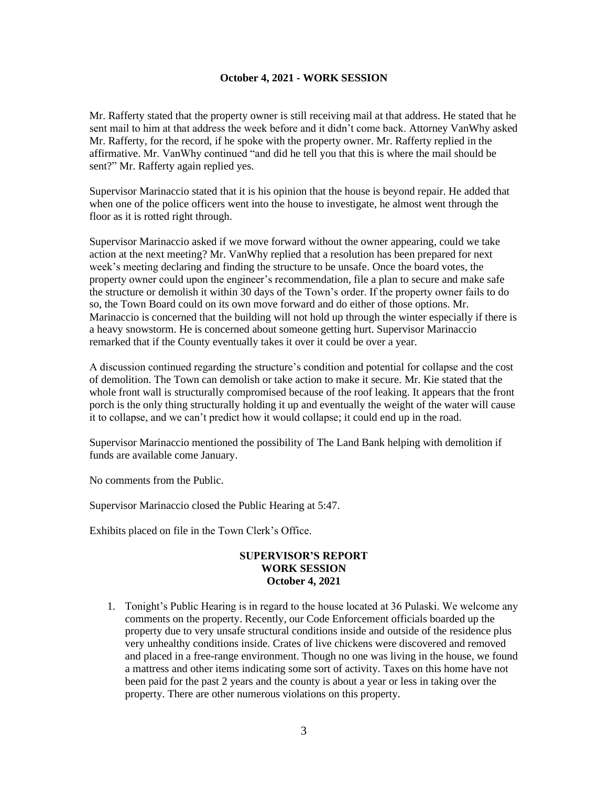Mr. Rafferty stated that the property owner is still receiving mail at that address. He stated that he sent mail to him at that address the week before and it didn't come back. Attorney VanWhy asked Mr. Rafferty, for the record, if he spoke with the property owner. Mr. Rafferty replied in the affirmative. Mr. VanWhy continued "and did he tell you that this is where the mail should be sent?" Mr. Rafferty again replied yes.

Supervisor Marinaccio stated that it is his opinion that the house is beyond repair. He added that when one of the police officers went into the house to investigate, he almost went through the floor as it is rotted right through.

Supervisor Marinaccio asked if we move forward without the owner appearing, could we take action at the next meeting? Mr. VanWhy replied that a resolution has been prepared for next week's meeting declaring and finding the structure to be unsafe. Once the board votes, the property owner could upon the engineer's recommendation, file a plan to secure and make safe the structure or demolish it within 30 days of the Town's order. If the property owner fails to do so, the Town Board could on its own move forward and do either of those options. Mr. Marinaccio is concerned that the building will not hold up through the winter especially if there is a heavy snowstorm. He is concerned about someone getting hurt. Supervisor Marinaccio remarked that if the County eventually takes it over it could be over a year.

A discussion continued regarding the structure's condition and potential for collapse and the cost of demolition. The Town can demolish or take action to make it secure. Mr. Kie stated that the whole front wall is structurally compromised because of the roof leaking. It appears that the front porch is the only thing structurally holding it up and eventually the weight of the water will cause it to collapse, and we can't predict how it would collapse; it could end up in the road.

Supervisor Marinaccio mentioned the possibility of The Land Bank helping with demolition if funds are available come January.

No comments from the Public.

Supervisor Marinaccio closed the Public Hearing at 5:47.

Exhibits placed on file in the Town Clerk's Office.

#### **SUPERVISOR'S REPORT WORK SESSION October 4, 2021**

1. Tonight's Public Hearing is in regard to the house located at 36 Pulaski. We welcome any comments on the property. Recently, our Code Enforcement officials boarded up the property due to very unsafe structural conditions inside and outside of the residence plus very unhealthy conditions inside. Crates of live chickens were discovered and removed and placed in a free-range environment. Though no one was living in the house, we found a mattress and other items indicating some sort of activity. Taxes on this home have not been paid for the past 2 years and the county is about a year or less in taking over the property. There are other numerous violations on this property.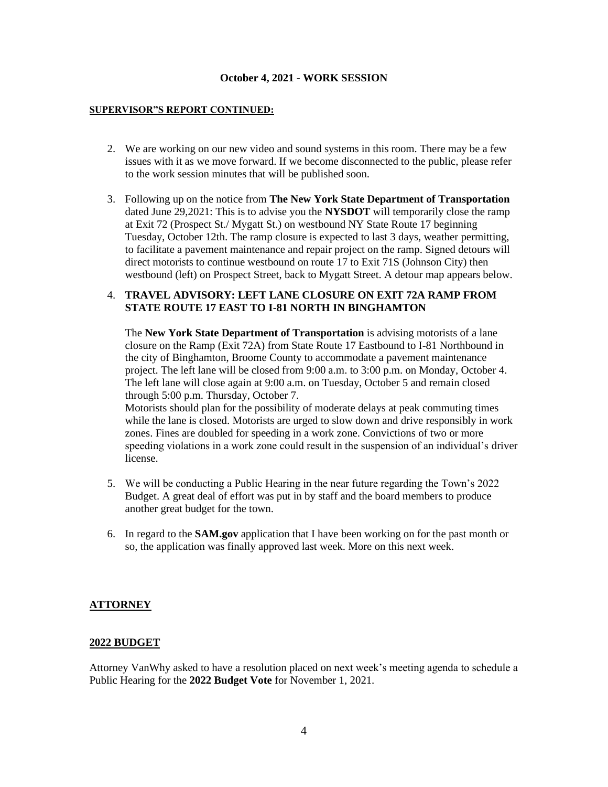#### **SUPERVISOR"S REPORT CONTINUED:**

- 2. We are working on our new video and sound systems in this room. There may be a few issues with it as we move forward. If we become disconnected to the public, please refer to the work session minutes that will be published soon.
- 3. Following up on the notice from **The New York State Department of Transportation** dated June 29,2021: This is to advise you the **NYSDOT** will temporarily close the ramp at Exit 72 (Prospect St./ Mygatt St.) on westbound NY State Route 17 beginning Tuesday, October 12th. The ramp closure is expected to last 3 days, weather permitting, to facilitate a pavement maintenance and repair project on the ramp. Signed detours will direct motorists to continue westbound on route 17 to Exit 71S (Johnson City) then westbound (left) on Prospect Street, back to Mygatt Street. A detour map appears below.

### 4. **TRAVEL ADVISORY: LEFT LANE CLOSURE ON EXIT 72A RAMP FROM STATE ROUTE 17 EAST TO I-81 NORTH IN BINGHAMTON**

The **New York State Department of Transportation** is advising motorists of a lane closure on the Ramp (Exit 72A) from State Route 17 Eastbound to I-81 Northbound in the city of Binghamton, Broome County to accommodate a pavement maintenance project. The left lane will be closed from 9:00 a.m. to 3:00 p.m. on Monday, October 4. The left lane will close again at 9:00 a.m. on Tuesday, October 5 and remain closed through 5:00 p.m. Thursday, October 7.

Motorists should plan for the possibility of moderate delays at peak commuting times while the lane is closed. Motorists are urged to slow down and drive responsibly in work zones. Fines are doubled for speeding in a work zone. Convictions of two or more speeding violations in a work zone could result in the suspension of an individual's driver license.

- 5. We will be conducting a Public Hearing in the near future regarding the Town's 2022 Budget. A great deal of effort was put in by staff and the board members to produce another great budget for the town.
- 6. In regard to the **SAM.gov** application that I have been working on for the past month or so, the application was finally approved last week. More on this next week.

### **ATTORNEY**

### **2022 BUDGET**

Attorney VanWhy asked to have a resolution placed on next week's meeting agenda to schedule a Public Hearing for the **2022 Budget Vote** for November 1, 2021.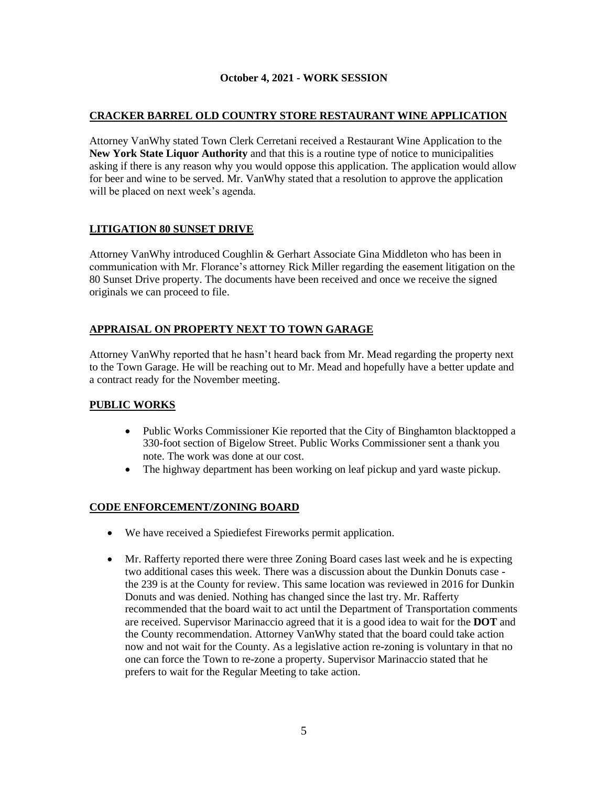## **CRACKER BARREL OLD COUNTRY STORE RESTAURANT WINE APPLICATION**

Attorney VanWhy stated Town Clerk Cerretani received a Restaurant Wine Application to the **New York State Liquor Authority** and that this is a routine type of notice to municipalities asking if there is any reason why you would oppose this application. The application would allow for beer and wine to be served. Mr. VanWhy stated that a resolution to approve the application will be placed on next week's agenda.

## **LITIGATION 80 SUNSET DRIVE**

Attorney VanWhy introduced Coughlin & Gerhart Associate Gina Middleton who has been in communication with Mr. Florance's attorney Rick Miller regarding the easement litigation on the 80 Sunset Drive property. The documents have been received and once we receive the signed originals we can proceed to file.

## **APPRAISAL ON PROPERTY NEXT TO TOWN GARAGE**

Attorney VanWhy reported that he hasn't heard back from Mr. Mead regarding the property next to the Town Garage. He will be reaching out to Mr. Mead and hopefully have a better update and a contract ready for the November meeting.

# **PUBLIC WORKS**

- Public Works Commissioner Kie reported that the City of Binghamton blacktopped a 330-foot section of Bigelow Street. Public Works Commissioner sent a thank you note. The work was done at our cost.
- The highway department has been working on leaf pickup and yard waste pickup.

# **CODE ENFORCEMENT/ZONING BOARD**

- We have received a Spiediefest Fireworks permit application.
- Mr. Rafferty reported there were three Zoning Board cases last week and he is expecting two additional cases this week. There was a discussion about the Dunkin Donuts case the 239 is at the County for review. This same location was reviewed in 2016 for Dunkin Donuts and was denied. Nothing has changed since the last try. Mr. Rafferty recommended that the board wait to act until the Department of Transportation comments are received. Supervisor Marinaccio agreed that it is a good idea to wait for the **DOT** and the County recommendation. Attorney VanWhy stated that the board could take action now and not wait for the County. As a legislative action re-zoning is voluntary in that no one can force the Town to re-zone a property. Supervisor Marinaccio stated that he prefers to wait for the Regular Meeting to take action.